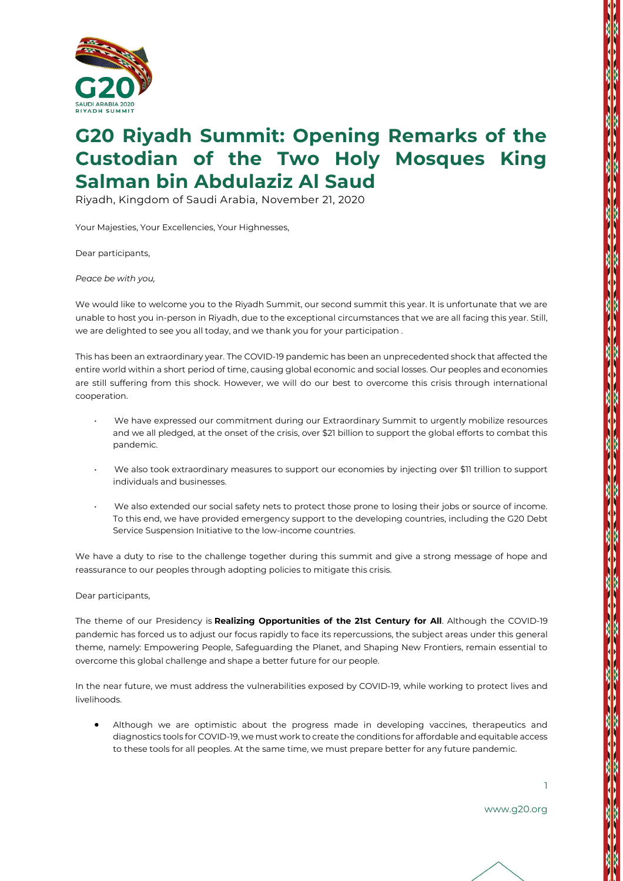

## **G20 Riyadh Summit: Opening Remarks of the Custodian of the Two Holy Mosques King Salman bin Abdulaziz Al Saud**

Riyadh, Kingdom of Saudi Arabia, November 21, 2020

Your Majesties, Your Excellencies, Your Highnesses,

Dear participants,

*Peace be with you,*

We would like to welcome you to the Riyadh Summit, our second summit this year. It is unfortunate that we are unable to host you in-person in Riyadh, due to the exceptional circumstances that we are all facing this year. Still, we are delighted to see you all today, and we thank you for your participation .

This has been an extraordinary year. The COVID-19 pandemic has been an unprecedented shock that affected the entire world within a short period of time, causing global economic and social losses. Our peoples and economies are still suffering from this shock. However, we will do our best to overcome this crisis through international cooperation.

- We have expressed our commitment during our Extraordinary Summit to urgently mobilize resources and we all pledged, at the onset of the crisis, over \$21 billion to support the global efforts to combat this pandemic.
- We also took extraordinary measures to support our economies by injecting over \$11 trillion to support individuals and businesses.
- We also extended our social safety nets to protect those prone to losing their jobs or source of income. To this end, we have provided emergency support to the developing countries, including the G20 Debt Service Suspension Initiative to the low-income countries.

We have a duty to rise to the challenge together during this summit and give a strong message of hope and reassurance to our peoples through adopting policies to mitigate this crisis.

## Dear participants,

The theme of our Presidency is **Realizing Opportunities of the 21st Century for All**. Although the COVID-19 pandemic has forced us to adjust our focus rapidly to face its repercussions, the subject areas under this general theme, namely: Empowering People, Safeguarding the Planet, and Shaping New Frontiers, remain essential to overcome this global challenge and shape a better future for our people.

In the near future, we must address the vulnerabilities exposed by COVID-19, while working to protect lives and livelihoods.

• Although we are optimistic about the progress made in developing vaccines, therapeutics and diagnostics tools for COVID-19, we must work to create the conditions for affordable and equitable access to these tools for all peoples. At the same time, we must prepare better for any future pandemic.

1

**The Second Property of the Second Property** 

www.g20.org